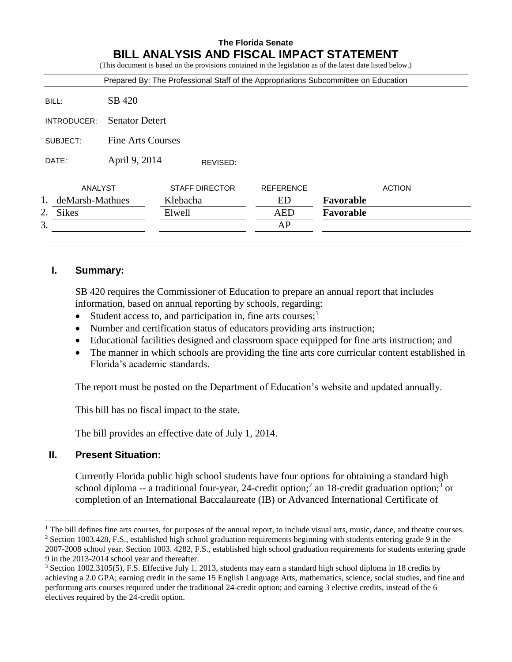|                            |                          | <b>The Florida Senate</b><br>BILL ANALYSIS AND FISCAL IMPACT STATEMENT |                  | (This document is based on the provisions contained in the legislation as of the latest date listed below.) |
|----------------------------|--------------------------|------------------------------------------------------------------------|------------------|-------------------------------------------------------------------------------------------------------------|
|                            |                          |                                                                        |                  | Prepared By: The Professional Staff of the Appropriations Subcommittee on Education                         |
| BILL:                      | SB 420                   |                                                                        |                  |                                                                                                             |
| INTRODUCER:                | <b>Senator Detert</b>    |                                                                        |                  |                                                                                                             |
| SUBJECT:                   | <b>Fine Arts Courses</b> |                                                                        |                  |                                                                                                             |
| DATE:                      | April 9, 2014            | REVISED:                                                               |                  |                                                                                                             |
| ANALYST                    |                          | <b>STAFF DIRECTOR</b>                                                  | <b>REFERENCE</b> | <b>ACTION</b>                                                                                               |
| $1_{-}$<br>deMarsh-Mathues |                          | Klebacha                                                               | ED               | Favorable                                                                                                   |
| 2.<br><b>Sikes</b>         |                          | Elwell                                                                 | <b>AED</b>       | Favorable                                                                                                   |
| 3.                         |                          |                                                                        | AP               |                                                                                                             |

## **I. Summary:**

SB 420 requires the Commissioner of Education to prepare an annual report that includes information, based on annual reporting by schools, regarding:

- $\bullet$  Student access to, and participation in, fine arts courses;<sup>1</sup>
- Number and certification status of educators providing arts instruction;
- Educational facilities designed and classroom space equipped for fine arts instruction; and
- The manner in which schools are providing the fine arts core curricular content established in Florida's academic standards.

The report must be posted on the Department of Education's website and updated annually.

This bill has no fiscal impact to the state.

The bill provides an effective date of July 1, 2014.

#### **II. Present Situation:**

 $\overline{a}$ 

Currently Florida public high school students have four options for obtaining a standard high school diploma -- a traditional four-year, 24-credit option;<sup>2</sup> an 18-credit graduation option;<sup>3</sup> or completion of an International Baccalaureate (IB) or Advanced International Certificate of

 $<sup>1</sup>$  The bill defines fine arts courses, for purposes of the annual report, to include visual arts, music, dance, and theatre courses.</sup> <sup>2</sup> Section 1003.428, F.S., established high school graduation requirements beginning with students entering grade 9 in the

<sup>2007-2008</sup> school year. Section 1003. 4282, F.S., established high school graduation requirements for students entering grade 9 in the 2013-2014 school year and thereafter.

<sup>&</sup>lt;sup>3</sup> Section 1002.3105(5), F.S. Effective July 1, 2013, students may earn a standard high school diploma in 18 credits by achieving a 2.0 GPA; earning credit in the same 15 English Language Arts, mathematics, science, social studies, and fine and performing arts courses required under the traditional 24-credit option; and earning 3 elective credits, instead of the 6 electives required by the 24-credit option.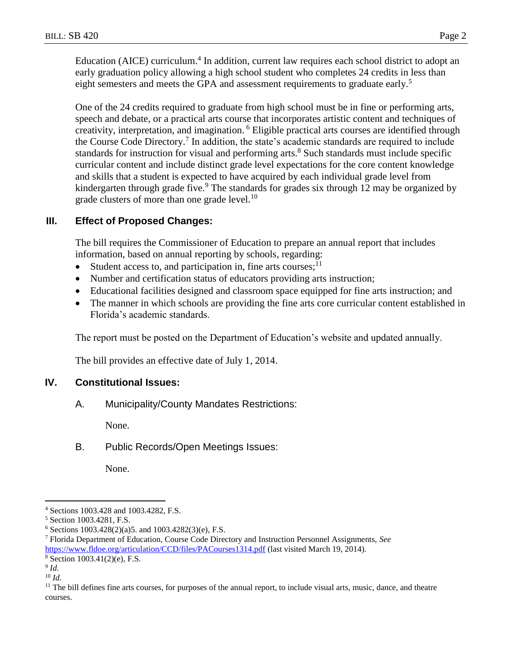Education (AICE) curriculum.<sup>4</sup> In addition, current law requires each school district to adopt an early graduation policy allowing a high school student who completes 24 credits in less than eight semesters and meets the GPA and assessment requirements to graduate early.<sup>5</sup>

One of the 24 credits required to graduate from high school must be in fine or performing arts, speech and debate, or a practical arts course that incorporates artistic content and techniques of creativity, interpretation, and imagination. <sup>6</sup> Eligible practical arts courses are identified through the Course Code Directory.<sup>7</sup> In addition, the state's academic standards are required to include standards for instruction for visual and performing arts.<sup>8</sup> Such standards must include specific curricular content and include distinct grade level expectations for the core content knowledge and skills that a student is expected to have acquired by each individual grade level from kindergarten through grade five.<sup>9</sup> The standards for grades six through 12 may be organized by grade clusters of more than one grade level.<sup>10</sup>

# **III. Effect of Proposed Changes:**

The bill requires the Commissioner of Education to prepare an annual report that includes information, based on annual reporting by schools, regarding:

- Student access to, and participation in, fine arts courses;  $11$
- Number and certification status of educators providing arts instruction;
- Educational facilities designed and classroom space equipped for fine arts instruction; and
- The manner in which schools are providing the fine arts core curricular content established in Florida's academic standards.

The report must be posted on the Department of Education's website and updated annually.

The bill provides an effective date of July 1, 2014.

# **IV. Constitutional Issues:**

A. Municipality/County Mandates Restrictions:

None.

B. Public Records/Open Meetings Issues:

None.

 $\overline{a}$ 

<sup>10</sup> *Id.*

<sup>4</sup> Sections 1003.428 and 1003.4282, F.S.

<sup>5</sup> Section 1003.4281, F.S.

 $6$  Sections 1003.428(2)(a)5. and 1003.4282(3)(e), F.S.

<sup>7</sup> Florida Department of Education, Course Code Directory and Instruction Personnel Assignments, *See* <https://www.fldoe.org/articulation/CCD/files/PACourses1314.pdf> (last visited March 19, 2014).

<sup>8</sup> Section 1003.41(2)(e), F.S.

<sup>9</sup> *Id.*

 $<sup>11</sup>$  The bill defines fine arts courses, for purposes of the annual report, to include visual arts, music, dance, and theatre</sup> courses.